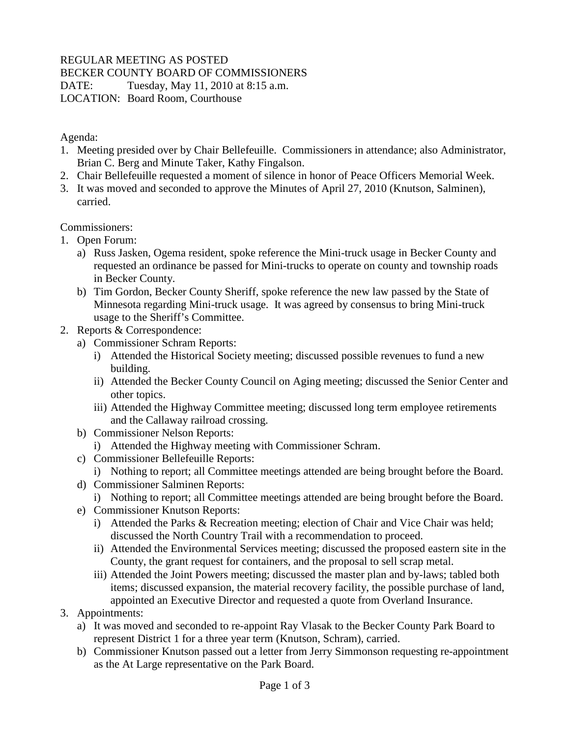## REGULAR MEETING AS POSTED

## BECKER COUNTY BOARD OF COMMISSIONERS

DATE: Tuesday, May 11, 2010 at 8:15 a.m.

LOCATION: Board Room, Courthouse

Agenda:

- 1. Meeting presided over by Chair Bellefeuille. Commissioners in attendance; also Administrator, Brian C. Berg and Minute Taker, Kathy Fingalson.
- 2. Chair Bellefeuille requested a moment of silence in honor of Peace Officers Memorial Week.
- 3. It was moved and seconded to approve the Minutes of April 27, 2010 (Knutson, Salminen), carried.

Commissioners:

- 1. Open Forum:
	- a) Russ Jasken, Ogema resident, spoke reference the Mini-truck usage in Becker County and requested an ordinance be passed for Mini-trucks to operate on county and township roads in Becker County.
	- b) Tim Gordon, Becker County Sheriff, spoke reference the new law passed by the State of Minnesota regarding Mini-truck usage. It was agreed by consensus to bring Mini-truck usage to the Sheriff's Committee.
- 2. Reports & Correspondence:
	- a) Commissioner Schram Reports:
		- i) Attended the Historical Society meeting; discussed possible revenues to fund a new building.
		- ii) Attended the Becker County Council on Aging meeting; discussed the Senior Center and other topics.
		- iii) Attended the Highway Committee meeting; discussed long term employee retirements and the Callaway railroad crossing.
	- b) Commissioner Nelson Reports:
		- i) Attended the Highway meeting with Commissioner Schram.
	- c) Commissioner Bellefeuille Reports:
		- i) Nothing to report; all Committee meetings attended are being brought before the Board.
	- d) Commissioner Salminen Reports:
		- i) Nothing to report; all Committee meetings attended are being brought before the Board.
	- e) Commissioner Knutson Reports:
		- i) Attended the Parks & Recreation meeting; election of Chair and Vice Chair was held; discussed the North Country Trail with a recommendation to proceed.
		- ii) Attended the Environmental Services meeting; discussed the proposed eastern site in the County, the grant request for containers, and the proposal to sell scrap metal.
		- iii) Attended the Joint Powers meeting; discussed the master plan and by-laws; tabled both items; discussed expansion, the material recovery facility, the possible purchase of land, appointed an Executive Director and requested a quote from Overland Insurance.
- 3. Appointments:
	- a) It was moved and seconded to re-appoint Ray Vlasak to the Becker County Park Board to represent District 1 for a three year term (Knutson, Schram), carried.
	- b) Commissioner Knutson passed out a letter from Jerry Simmonson requesting re-appointment as the At Large representative on the Park Board.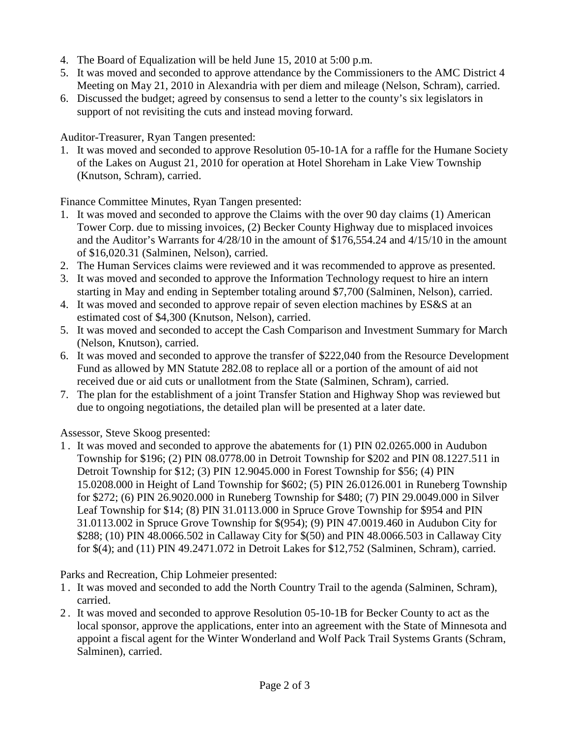- 4. The Board of Equalization will be held June 15, 2010 at 5:00 p.m.
- 5. It was moved and seconded to approve attendance by the Commissioners to the AMC District 4 Meeting on May 21, 2010 in Alexandria with per diem and mileage (Nelson, Schram), carried.
- 6. Discussed the budget; agreed by consensus to send a letter to the county's six legislators in support of not revisiting the cuts and instead moving forward.

Auditor-Treasurer, Ryan Tangen presented:

1. It was moved and seconded to approve Resolution 05-10-1A for a raffle for the Humane Society of the Lakes on August 21, 2010 for operation at Hotel Shoreham in Lake View Township (Knutson, Schram), carried.

Finance Committee Minutes, Ryan Tangen presented:

- 1. It was moved and seconded to approve the Claims with the over 90 day claims (1) American Tower Corp. due to missing invoices, (2) Becker County Highway due to misplaced invoices and the Auditor's Warrants for 4/28/10 in the amount of \$176,554.24 and 4/15/10 in the amount of \$16,020.31 (Salminen, Nelson), carried.
- 2. The Human Services claims were reviewed and it was recommended to approve as presented.
- 3. It was moved and seconded to approve the Information Technology request to hire an intern starting in May and ending in September totaling around \$7,700 (Salminen, Nelson), carried.
- 4. It was moved and seconded to approve repair of seven election machines by ES&S at an estimated cost of \$4,300 (Knutson, Nelson), carried.
- 5. It was moved and seconded to accept the Cash Comparison and Investment Summary for March (Nelson, Knutson), carried.
- 6. It was moved and seconded to approve the transfer of \$222,040 from the Resource Development Fund as allowed by MN Statute 282.08 to replace all or a portion of the amount of aid not received due or aid cuts or unallotment from the State (Salminen, Schram), carried.
- 7. The plan for the establishment of a joint Transfer Station and Highway Shop was reviewed but due to ongoing negotiations, the detailed plan will be presented at a later date.

Assessor, Steve Skoog presented:

1 . It was moved and seconded to approve the abatements for (1) PIN 02.0265.000 in Audubon Township for \$196; (2) PIN 08.0778.00 in Detroit Township for \$202 and PIN 08.1227.511 in Detroit Township for \$12; (3) PIN 12.9045.000 in Forest Township for \$56; (4) PIN 15.0208.000 in Height of Land Township for \$602; (5) PIN 26.0126.001 in Runeberg Township for \$272; (6) PIN 26.9020.000 in Runeberg Township for \$480; (7) PIN 29.0049.000 in Silver Leaf Township for \$14; (8) PIN 31.0113.000 in Spruce Grove Township for \$954 and PIN 31.0113.002 in Spruce Grove Township for \$(954); (9) PIN 47.0019.460 in Audubon City for \$288; (10) PIN 48.0066.502 in Callaway City for \$(50) and PIN 48.0066.503 in Callaway City for \$(4); and (11) PIN 49.2471.072 in Detroit Lakes for \$12,752 (Salminen, Schram), carried.

Parks and Recreation, Chip Lohmeier presented:

- 1 . It was moved and seconded to add the North Country Trail to the agenda (Salminen, Schram), carried.
- 2 . It was moved and seconded to approve Resolution 05-10-1B for Becker County to act as the local sponsor, approve the applications, enter into an agreement with the State of Minnesota and appoint a fiscal agent for the Winter Wonderland and Wolf Pack Trail Systems Grants (Schram, Salminen), carried.